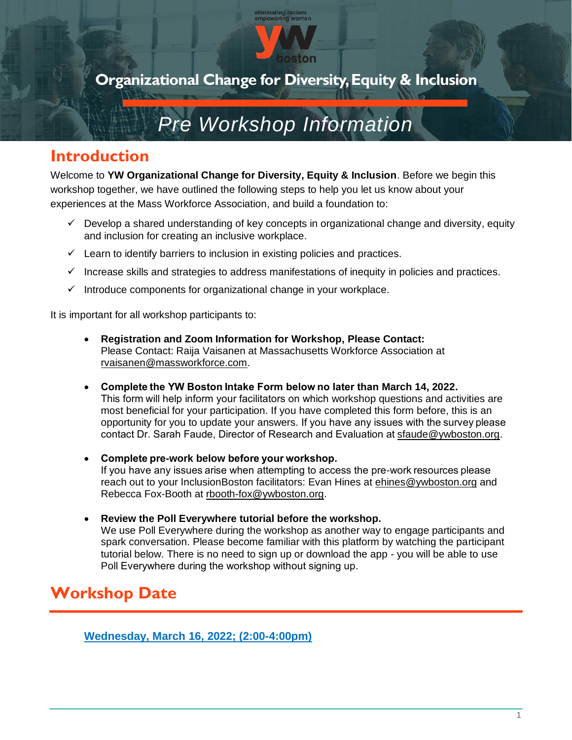

l<mark>iminating racism</mark><br>mpowering womer

### *Pre Workshop Information*

### **Introduction**

Welcome to **YW Organizational Change for Diversity, Equity & Inclusion**. Before we begin this workshop together, we have outlined the following steps to help you let us know about your experiences at the Mass Workforce Association, and build a foundation to:

- $\checkmark$  Develop a shared understanding of key concepts in organizational change and diversity, equity and inclusion for creating an inclusive workplace.
- $\checkmark$  Learn to identify barriers to inclusion in existing policies and practices.
- ✓ Increase skills and strategies to address manifestations of inequity in policies and practices.
- $\checkmark$  Introduce components for organizational change in your workplace.

It is important for all workshop participants to:

- **Registration and Zoom Information for Workshop, Please Contact:** Please Contact: Raija Vaisanen at Massachusetts Workforce Association at rvaisanen@massworkforce.com.
- **Complete the YW Boston Intake Form below no later than March 14, 2022.** This form will help inform your facilitators on which workshop questions and activities are most beneficial for your participation. If you have completed this form before, this is an opportunity for you to update your answers. If you have any issues with the survey please contact Dr. Sarah Faude, Director of Research and Evaluation at[sfaude@ywboston.org.](mailto:sfaude@ywboston.org)
- **Complete pre-work below before your workshop.** If you have any issues arise when attempting to access the pre-work resources please reach out to your InclusionBoston facilitators: Evan Hines at [ehines@ywboston.org](mailto:ehines@ywboston.org) and Rebecca Fox-Booth at rbooth-fox@ywboston.org.
- **Review the Poll Everywhere tutorial before the workshop.** We use Poll Everywhere during the workshop as another way to engage participants and spark conversation. Please become familiar with this platform by watching the participant tutorial below. There is no need to sign up or download the app - you will be able to use Poll Everywhere during the workshop without signing up.

### **Workshop Date**

**Wednesday, March 16, 2022; (2:00-4:00pm)**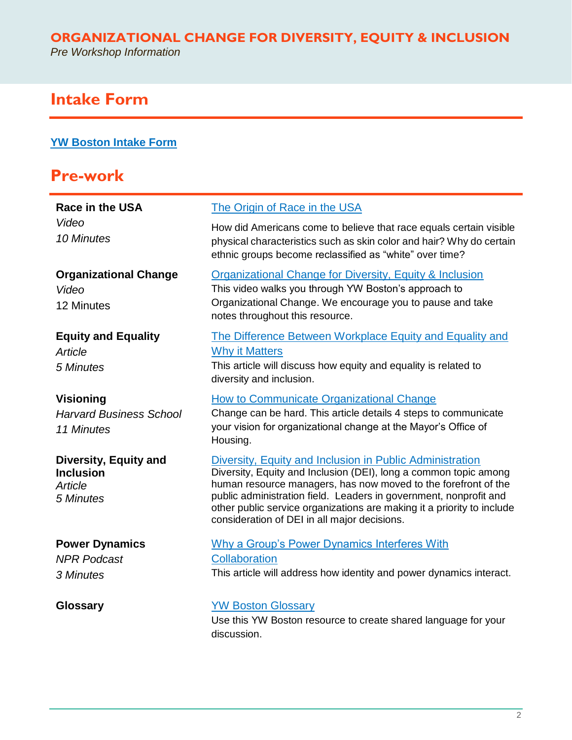### **ORGANIZATIONAL CHANGE FOR DIVERSITY, EQUITY & INCLUSION**

*Pre Workshop Information*

### **Intake Form**

#### **[YW Boston Intake Form](https://forms.office.com/Pages/ResponsePage.aspx?id=gBNdy1hHfUiY3MCYmTn4oblAlAFtqu5Lkf7AB0Q4rfZURUkyRVdBNDlWNEtHRjIxRUExN0w1NlFFSC4u)**

### **Pre-work**

| <b>Race in the USA</b>                                                   | The Origin of Race in the USA                                                                                                                                                                                                                                                                                                                                                                 |
|--------------------------------------------------------------------------|-----------------------------------------------------------------------------------------------------------------------------------------------------------------------------------------------------------------------------------------------------------------------------------------------------------------------------------------------------------------------------------------------|
| Video<br>10 Minutes                                                      | How did Americans come to believe that race equals certain visible<br>physical characteristics such as skin color and hair? Why do certain<br>ethnic groups become reclassified as "white" over time?                                                                                                                                                                                         |
| <b>Organizational Change</b><br>Video<br>12 Minutes                      | Organizational Change for Diversity, Equity & Inclusion<br>This video walks you through YW Boston's approach to<br>Organizational Change. We encourage you to pause and take<br>notes throughout this resource.                                                                                                                                                                               |
| <b>Equity and Equality</b><br>Article<br>5 Minutes                       | The Difference Between Workplace Equity and Equality and<br><b>Why it Matters</b><br>This article will discuss how equity and equality is related to<br>diversity and inclusion.                                                                                                                                                                                                              |
| <b>Visioning</b><br><b>Harvard Business School</b><br>11 Minutes         | How to Communicate Organizational Change<br>Change can be hard. This article details 4 steps to communicate<br>your vision for organizational change at the Mayor's Office of<br>Housing.                                                                                                                                                                                                     |
| <b>Diversity, Equity and</b><br><b>Inclusion</b><br>Article<br>5 Minutes | Diversity, Equity and Inclusion in Public Administration<br>Diversity, Equity and Inclusion (DEI), long a common topic among<br>human resource managers, has now moved to the forefront of the<br>public administration field. Leaders in government, nonprofit and<br>other public service organizations are making it a priority to include<br>consideration of DEI in all major decisions. |
| <b>Power Dynamics</b><br><b>NPR Podcast</b><br>3 Minutes                 | <b>Why a Group's Power Dynamics Interferes With</b><br>Collaboration<br>This article will address how identity and power dynamics interact.                                                                                                                                                                                                                                                   |
| <b>Glossary</b>                                                          | <b>YW Boston Glossary</b><br>Llee this MM Deaten resource to exacts shared longuage for your                                                                                                                                                                                                                                                                                                  |

Use this YW Boston resource to create shared language for your discussion.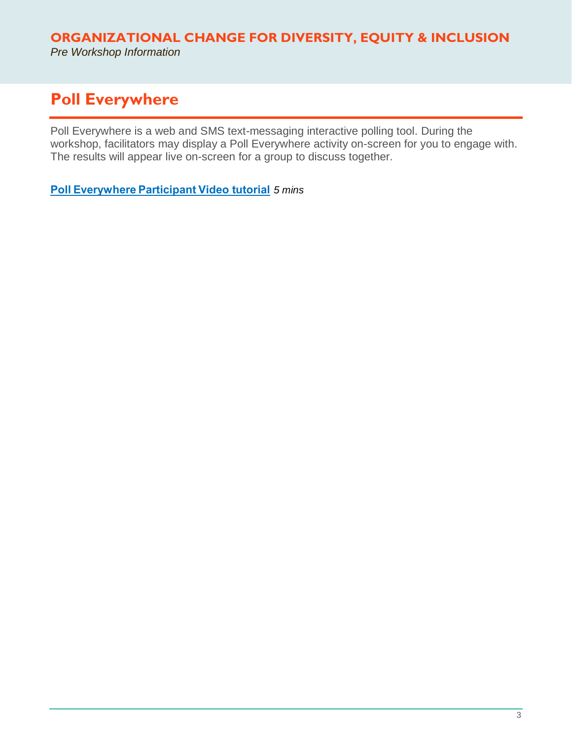#### **ORGANIZATIONAL CHANGE FOR DIVERSITY, EQUITY & INCLUSION** *Pre Workshop Information*

### **Poll Everywhere**

Poll Everywhere is a web and SMS text-messaging interactive polling tool. During the workshop, facilitators may display a Poll Everywhere activity on-screen for you to engage with. The results will appear live on-screen for a group to discuss together.

**[Poll Everywhere Participant Video tutorial](https://www.youtube.com/watch?v=D-1cZX918PQ)** *5 mins*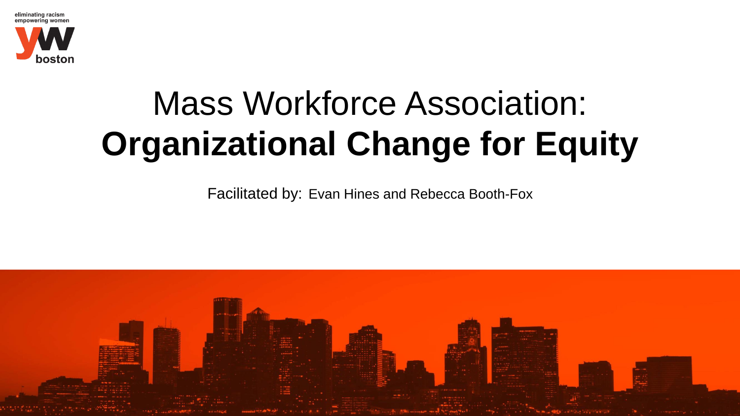

## Mass Workforce Association: **Organizational Change for Equity**

Facilitated by: Evan Hines and Rebecca Booth-Fox

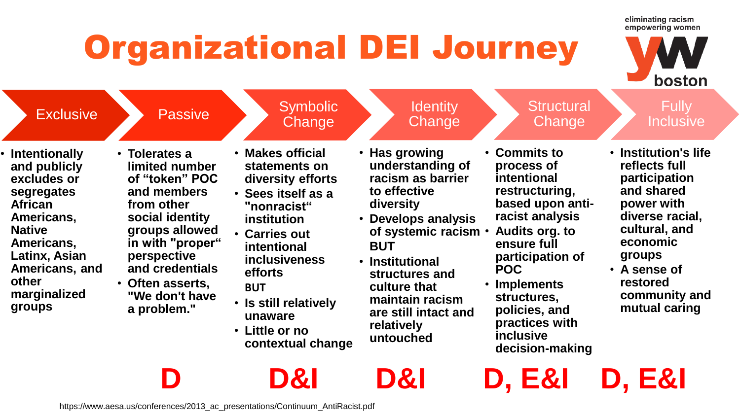## Organizational DEI Journey



boston

eliminating racism

**decision-making**

**D D&I D&I D, E&I D, E&I**

**Exclusive** • **Intentionally and publicly excludes or segregates African Americans, Native Americans, Latinx, Asian Americans, and other marginalized groups Passive** • **Tolerates a limited number of "token" POC and members from other social identity groups allowed in with "proper" perspective and credentials** • **Often asserts, "We don't have a problem." Symbolic Change** • **Makes official statements on diversity efforts** • **Sees itself as a "nonracist" institution** • **Carries out intentional inclusiveness efforts BUT** • **Is still relatively unaware** • **Little or no contextual change Identity Change** • **Has growing understanding of racism as barrier to effective diversity** • **Develops analysis of systemic racism BUT** • **Institutional structures and culture that maintain racism are still intact and relatively untouched Structural Change** • **Commits to process of intentional restructuring, based upon antiracist analysis** • **Audits org. to ensure full participation of POC** • **Implements structures, policies, and practices with inclusive Fully** Inclusive • **Institution's life reflects full participation and shared power with diverse racial, cultural, and economic groups** • **A sense of restored community and mutual caring**

https://www.aesa.us/conferences/2013\_ac\_presentations/Continuum\_AntiRacist.pdf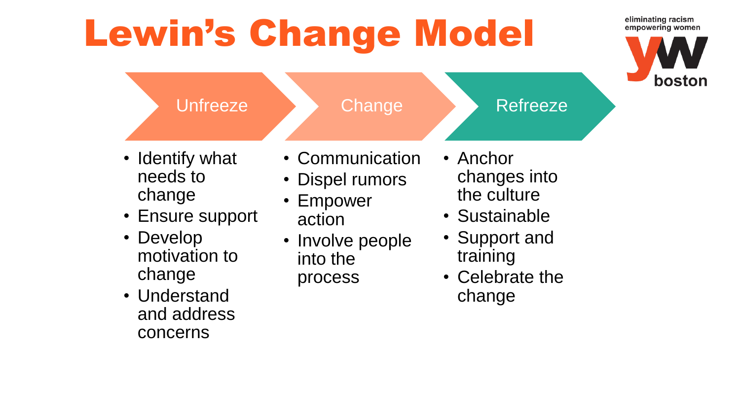# Lewin's Change Model



eliminating racism

- **Unfreeze** • Identify what needs to change **Change** • Communication • Dispel rumors • Empower Refreeze • Anchor the culture
- Ensure support
- Develop motivation to change
- Understand and address concerns
- action
- Involve people into the process
- changes into
- Sustainable
- Support and training
- Celebrate the change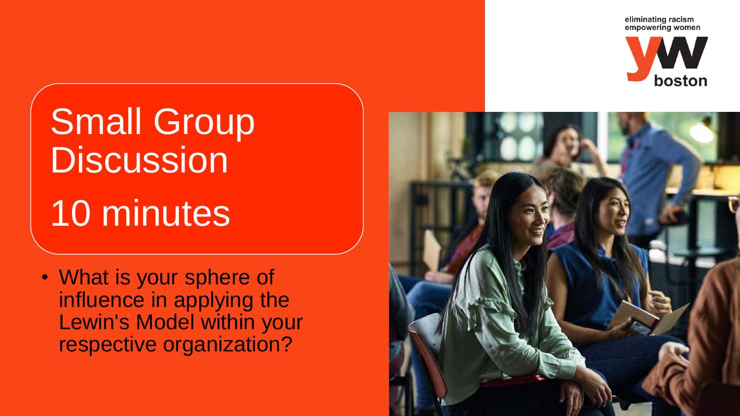eliminating racism empowering women



Small Group **Discussion** 10 minutes

• What is your sphere of influence in applying the Lewin's Model within your respective organization?

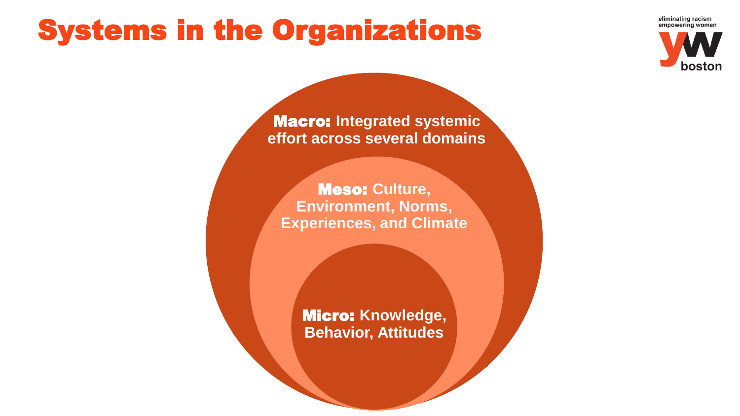## Systems in the Organizations





Macro: **Integrated systemic effort across several domains**

Meso: **Culture, Environment, Norms, Experiences, and Climate**

> Micro: **Knowledge, Behavior, Attitudes**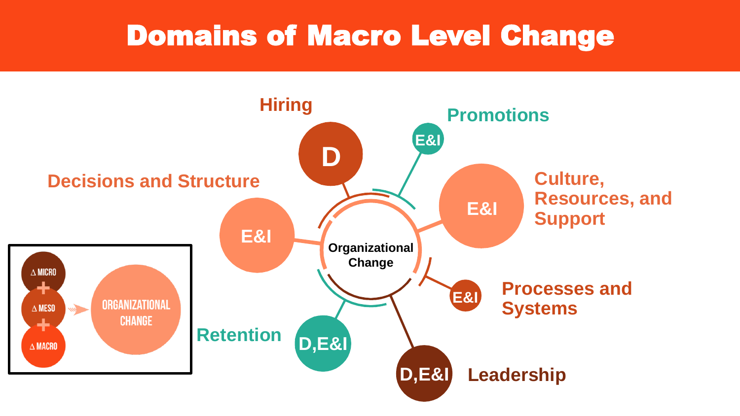### Domains of Macro Level Change

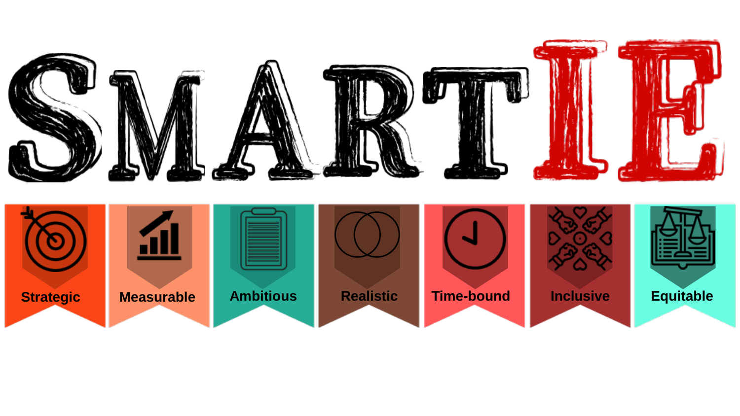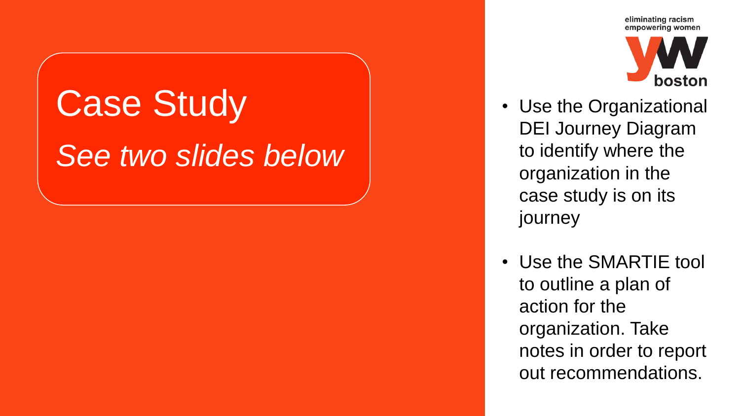# **Case Study** *See two slides below*



- Use the Organizational DEI Journey Diagram to identify where the organization in the case study is on its journey
- Use the SMARTIE tool to outline a plan of action for the organization. Take notes in order to report out recommendations.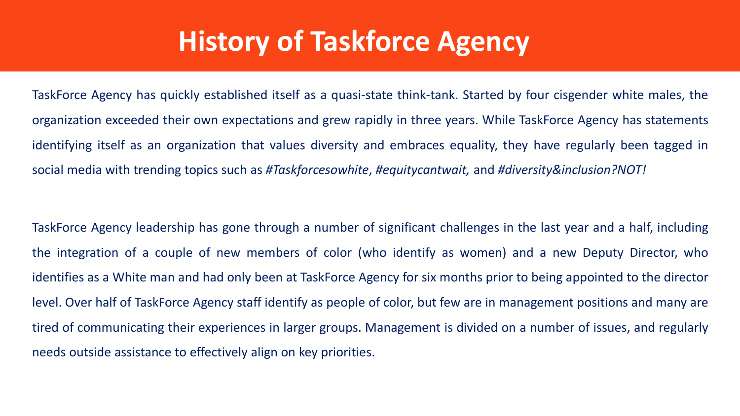## **History of Taskforce Agency**

TaskForce Agency has quickly established itself as a quasi-state think-tank. Started by four cisgender white males, the organization exceeded their own expectations and grew rapidly in three years. While TaskForce Agency has statements identifying itself as an organization that values diversity and embraces equality, they have regularly been tagged in social media with trending topics such as *#Taskforcesowhite*, *#equitycantwait,* and *#diversity&inclusion?NOT!*

TaskForce Agency leadership has gone through a number of significant challenges in the last year and a half, including the integration of a couple of new members of color (who identify as women) and a new Deputy Director, who identifies as a White man and had only been at TaskForce Agency for six months prior to being appointed to the director level. Over half of TaskForce Agency staff identify as people of color, but few are in management positions and many are tired of communicating their experiences in larger groups. Management is divided on a number of issues, and regularly needs outside assistance to effectively align on key priorities.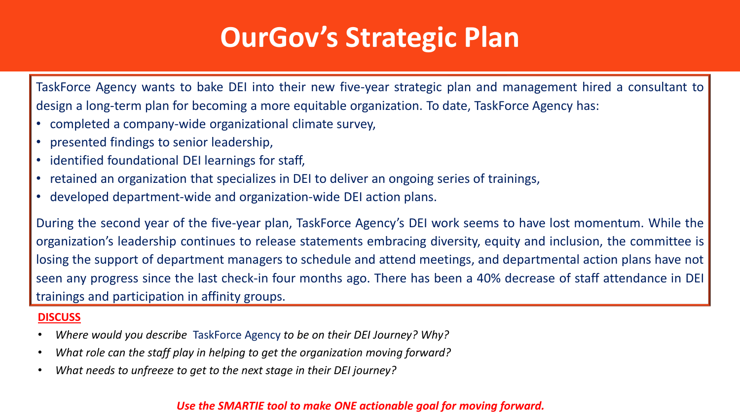## **OurGov's Strategic Plan**

TaskForce Agency wants to bake DEI into their new five-year strategic plan and management hired a consultant to design a long-term plan for becoming a more equitable organization. To date, TaskForce Agency has:

- completed a company-wide organizational climate survey,
- presented findings to senior leadership,
- identified foundational DEI learnings for staff,
- retained an organization that specializes in DEI to deliver an ongoing series of trainings,
- developed department-wide and organization-wide DEI action plans.

During the second year of the five-year plan, TaskForce Agency's DEI work seems to have lost momentum. While the organization's leadership continues to release statements embracing diversity, equity and inclusion, the committee is losing the support of department managers to schedule and attend meetings, and departmental action plans have not seen any progress since the last check-in four months ago. There has been a 40% decrease of staff attendance in DEI trainings and participation in affinity groups.

### **DISCUSS**

- *Where would you describe* TaskForce Agency *to be on their DEI Journey? Why?*
- *What role can the staff play in helping to get the organization moving forward?*
- *What needs to unfreeze to get to the next stage in their DEI journey?*

### *Use the SMARTIE tool to make ONE actionable goal for moving forward.*